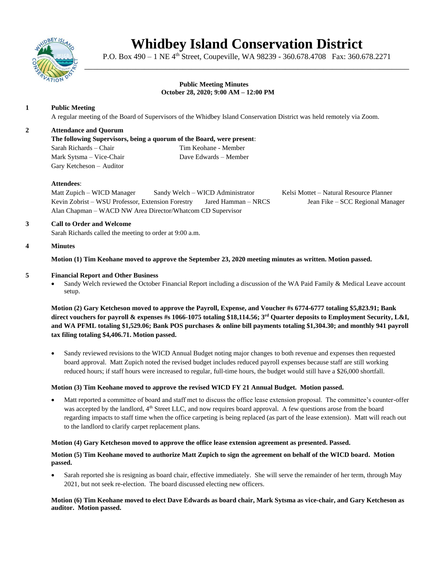

# **Whidbey Island Conservation District**

P.O. Box 490 – 1 NE 4<sup>th</sup> Street, Coupeville, WA 98239 - 360.678.4708 Fax: 360.678.2271 \_\_\_\_\_\_\_\_\_\_\_\_\_\_\_\_\_\_\_\_\_\_\_\_\_\_\_\_\_\_\_\_\_\_\_\_\_\_\_\_\_\_\_\_\_\_\_\_\_\_\_\_\_\_\_\_\_\_\_\_\_\_\_\_\_\_\_\_\_\_\_\_\_\_\_\_

### **Public Meeting Minutes October 28, 2020; 9:00 AM – 12:00 PM**

# **1 Public Meeting**

A regular meeting of the Board of Supervisors of the Whidbey Island Conservation District was held remotely via Zoom.

# **2 Attendance and Quorum**

**The following Supervisors, being a quorum of the Board, were present**: Sarah Richards – Chair Tim Keohane - Member Mark Sytsma – Vice-Chair Dave Edwards – Member Gary Ketcheson – Auditor

# **Attendees**:

Matt Zupich – WICD Manager Sandy Welch – WICD Administrator Kelsi Mottet – Natural Resource Planner Kevin Zobrist – WSU Professor, Extension Forestry Jared Hamman – NRCS Jean Fike – SCC Regional Manager Alan Chapman – WACD NW Area Director/Whatcom CD Supervisor

#### **3 Call to Order and Welcome** Sarah Richards called the meeting to order at 9:00 a.m.

### **4 Minutes**

**Motion (1) Tim Keohane moved to approve the September 23, 2020 meeting minutes as written. Motion passed.** 

# **5 Financial Report and Other Business**

Sandy Welch reviewed the October Financial Report including a discussion of the WA Paid Family & Medical Leave account setup.

**Motion (2) Gary Ketcheson moved to approve the Payroll, Expense, and Voucher #s 6774-6777 totaling \$5,823.91; Bank direct vouchers for payroll & expenses #s 1066-1075 totaling \$18,114.56; 3 rd Quarter deposits to Employment Security, L&I, and WA PFML totaling \$1,529.06; Bank POS purchases & online bill payments totaling \$1,304.30; and monthly 941 payroll tax filing totaling \$4,406.71. Motion passed.** 

• Sandy reviewed revisions to the WICD Annual Budget noting major changes to both revenue and expenses then requested board approval. Matt Zupich noted the revised budget includes reduced payroll expenses because staff are still working reduced hours; if staff hours were increased to regular, full-time hours, the budget would still have a \$26,000 shortfall.

# **Motion (3) Tim Keohane moved to approve the revised WICD FY 21 Annual Budget. Motion passed.**

• Matt reported a committee of board and staff met to discuss the office lease extension proposal. The committee's counter-offer was accepted by the landlord, 4<sup>th</sup> Street LLC, and now requires board approval. A few questions arose from the board regarding impacts to staff time when the office carpeting is being replaced (as part of the lease extension). Matt will reach out to the landlord to clarify carpet replacement plans.

# **Motion (4) Gary Ketcheson moved to approve the office lease extension agreement as presented. Passed.**

# **Motion (5) Tim Keohane moved to authorize Matt Zupich to sign the agreement on behalf of the WICD board. Motion passed.**

• Sarah reported she is resigning as board chair, effective immediately. She will serve the remainder of her term, through May 2021, but not seek re-election. The board discussed electing new officers.

### **Motion (6) Tim Keohane moved to elect Dave Edwards as board chair, Mark Sytsma as vice-chair, and Gary Ketcheson as auditor. Motion passed.**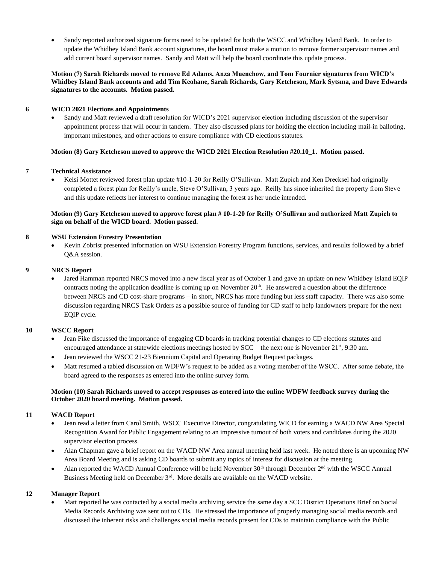• Sandy reported authorized signature forms need to be updated for both the WSCC and Whidbey Island Bank. In order to update the Whidbey Island Bank account signatures, the board must make a motion to remove former supervisor names and add current board supervisor names. Sandy and Matt will help the board coordinate this update process.

### **Motion (7) Sarah Richards moved to remove Ed Adams, Anza Muenchow, and Tom Fournier signatures from WICD's Whidbey Island Bank accounts and add Tim Keohane, Sarah Richards, Gary Ketcheson, Mark Sytsma, and Dave Edwards signatures to the accounts. Motion passed.**

# **6 WICD 2021 Elections and Appointments**

• Sandy and Matt reviewed a draft resolution for WICD's 2021 supervisor election including discussion of the supervisor appointment process that will occur in tandem. They also discussed plans for holding the election including mail-in balloting, important milestones, and other actions to ensure compliance with CD elections statutes.

### **Motion (8) Gary Ketcheson moved to approve the WICD 2021 Election Resolution #20.10\_1. Motion passed.**

### **7 Technical Assistance**

• Kelsi Mottet reviewed forest plan update #10-1-20 for Reilly O'Sullivan. Matt Zupich and Ken Drecksel had originally completed a forest plan for Reilly's uncle, Steve O'Sullivan, 3 years ago. Reilly has since inherited the property from Steve and this update reflects her interest to continue managing the forest as her uncle intended.

# **Motion (9) Gary Ketcheson moved to approve forest plan # 10-1-20 for Reilly O'Sullivan and authorized Matt Zupich to sign on behalf of the WICD board. Motion passed.**

### **8 WSU Extension Forestry Presentation**

• Kevin Zobrist presented information on WSU Extension Forestry Program functions, services, and results followed by a brief Q&A session.

#### **9 NRCS Report**

• Jared Hamman reported NRCS moved into a new fiscal year as of October 1 and gave an update on new Whidbey Island EQIP contracts noting the application deadline is coming up on November  $20<sup>th</sup>$ . He answered a question about the difference between NRCS and CD cost-share programs – in short, NRCS has more funding but less staff capacity. There was also some discussion regarding NRCS Task Orders as a possible source of funding for CD staff to help landowners prepare for the next EQIP cycle.

#### **10 WSCC Report**

- Jean Fike discussed the importance of engaging CD boards in tracking potential changes to CD elections statutes and encouraged attendance at statewide elections meetings hosted by  $SCC -$  the next one is November 21<sup>st</sup>, 9:30 am.
- Jean reviewed the WSCC 21-23 Biennium Capital and Operating Budget Request packages.
- Matt resumed a tabled discussion on WDFW's request to be added as a voting member of the WSCC. After some debate, the board agreed to the responses as entered into the online survey form.

# **Motion (10) Sarah Richards moved to accept responses as entered into the online WDFW feedback survey during the October 2020 board meeting. Motion passed.**

# **11 WACD Report**

- Jean read a letter from Carol Smith, WSCC Executive Director, congratulating WICD for earning a WACD NW Area Special Recognition Award for Public Engagement relating to an impressive turnout of both voters and candidates during the 2020 supervisor election process.
- Alan Chapman gave a brief report on the WACD NW Area annual meeting held last week. He noted there is an upcoming NW Area Board Meeting and is asking CD boards to submit any topics of interest for discussion at the meeting.
- Alan reported the WACD Annual Conference will be held November  $30<sup>th</sup>$  through December  $2<sup>nd</sup>$  with the WSCC Annual Business Meeting held on December 3<sup>rd</sup>. More details are available on the WACD website.

# **12 Manager Report**

• Matt reported he was contacted by a social media archiving service the same day a SCC District Operations Brief on Social Media Records Archiving was sent out to CDs. He stressed the importance of properly managing social media records and discussed the inherent risks and challenges social media records present for CDs to maintain compliance with the Public